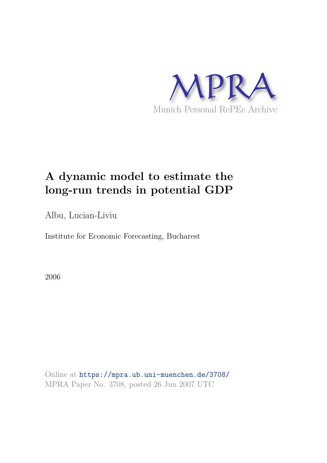

# **A dynamic model to estimate the long-run trends in potential GDP**

Albu, Lucian-Liviu

Institute for Economic Forecasting, Bucharest

2006

Online at https://mpra.ub.uni-muenchen.de/3708/ MPRA Paper No. 3708, posted 26 Jun 2007 UTC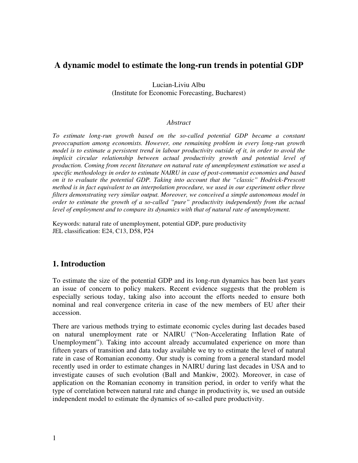## **A dynamic model to estimate the long-run trends in potential GDP**

Lucian-Liviu Albu (Institute for Economic Forecasting, Bucharest)

#### *Abstract*

*To estimate long-run growth based on the so-called potential GDP became a constant preoccupation among economists. However, one remaining problem in every long-run growth model is to estimate a persistent trend in labour productivity outside of it, in order to avoid the implicit circular relationship between actual productivity growth and potential level of production. Coming from recent literature on natural rate of unemployment estimation we used a specific methodology in order to estimate NAIRU in case of post-communist economies and based on it to evaluate the potential GDP. Taking into account that the "classic" Hodrick-Prescott method is in fact equivalent to an interpolation procedure, we used in our experiment other three filters demonstrating very similar output. Moreover, we conceived a simple autonomous model in order to estimate the growth of a so-called "pure" productivity independently from the actual*  level of employment and to compare its dynamics with that of natural rate of unemployment.

Keywords: natural rate of unemployment, potential GDP, pure productivity JEL classification: E24, C13, D58, P24

#### **1. Introduction**

To estimate the size of the potential GDP and its long-run dynamics has been last years an issue of concern to policy makers. Recent evidence suggests that the problem is especially serious today, taking also into account the efforts needed to ensure both nominal and real convergence criteria in case of the new members of EU after their accession.

There are various methods trying to estimate economic cycles during last decades based on natural unemployment rate or NAIRU ("Non-Accelerating Inflation Rate of Unemployment"). Taking into account already accumulated experience on more than fifteen years of transition and data today available we try to estimate the level of natural rate in case of Romanian economy. Our study is coming from a general standard model recently used in order to estimate changes in NAIRU during last decades in USA and to investigate causes of such evolution (Ball and Mankiw, 2002). Moreover, in case of application on the Romanian economy in transition period, in order to verify what the type of correlation between natural rate and change in productivity is, we used an outside independent model to estimate the dynamics of so-called pure productivity.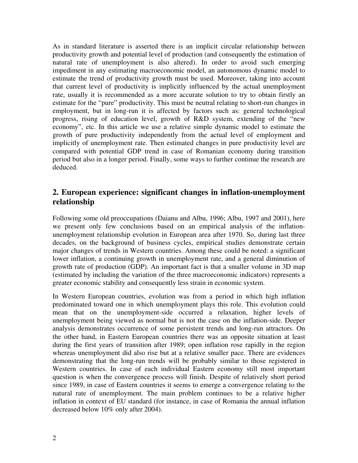As in standard literature is asserted there is an implicit circular relationship between productivity growth and potential level of production (and consequently the estimation of natural rate of unemployment is also altered). In order to avoid such emerging impediment in any estimating macroeconomic model, an autonomous dynamic model to estimate the trend of productivity growth must be used. Moreover, taking into account that current level of productivity is implicitly influenced by the actual unemployment rate, usually it is recommended as a more accurate solution to try to obtain firstly an estimate for the "pure" productivity. This must be neutral relating to short-run changes in employment, but in long-run it is affected by factors such as: general technological progress, rising of education level, growth of R&D system, extending of the "new economy", etc. In this article we use a relative simple dynamic model to estimate the growth of pure productivity independently from the actual level of employment and implicitly of unemployment rate. Then estimated changes in pure productivity level are compared with potential GDP trend in case of Romanian economy during transition period but also in a longer period. Finally, some ways to further continue the research are deduced.

### **2. European experience: significant changes in inflation-unemployment relationship**

Following some old preoccupations (Daianu and Albu, 1996; Albu, 1997 and 2001), here we present only few conclusions based on an empirical analysis of the inflationunemployment relationship evolution in European area after 1970. So, during last three decades, on the background of business cycles, empirical studies demonstrate certain major changes of trends in Western countries. Among these could be noted: a significant lower inflation, a continuing growth in unemployment rate, and a general diminution of growth rate of production (GDP). An important fact is that a smaller volume in 3D map (estimated by including the variation of the three macroeconomic indicators) represents a greater economic stability and consequently less strain in economic system.

In Western European countries, evolution was from a period in which high inflation predominated toward one in which unemployment plays this role. This evolution could mean that on the unemployment-side occurred a relaxation, higher levels of unemployment being viewed as normal but is not the case on the inflation-side. Deeper analysis demonstrates occurrence of some persistent trends and long-run attractors. On the other hand, in Eastern European countries there was an opposite situation at least during the first years of transition after 1989; open inflation rose rapidly in the region whereas unemployment did also rise but at a relative smaller pace. There are evidences demonstrating that the long-run trends will be probably similar to those registered in Western countries. In case of each individual Eastern economy still most important question is when the convergence process will finish. Despite of relatively short period since 1989, in case of Eastern countries it seems to emerge a convergence relating to the natural rate of unemployment. The main problem continues to be a relative higher inflation in context of EU standard (for instance, in case of Romania the annual inflation decreased below 10% only after 2004).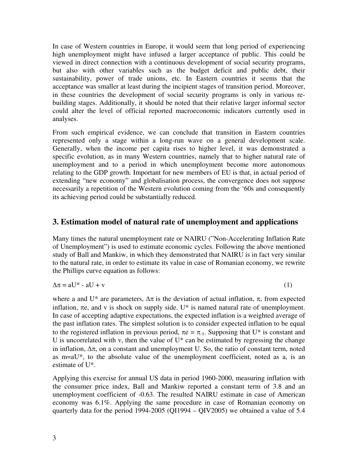In case of Western countries in Europe, it would seem that long period of experiencing high unemployment might have infused a larger acceptance of public. This could be viewed in direct connection with a continuous development of social security programs, but also with other variables such as the budget deficit and public debt, their sustainability, power of trade unions, etc. In Eastern countries it seems that the acceptance was smaller at least during the incipient stages of transition period. Moreover, in these countries the development of social security programs is only in various rebuilding stages. Additionally, it should be noted that their relative larger informal sector could alter the level of official reported macroeconomic indicators currently used in analyses.

From such empirical evidence, we can conclude that transition in Eastern countries represented only a stage within a long-run wave on a general development scale. Generally, when the income per capita rises to higher level, it was demonstrated a specific evolution, as in many Western countries, namely that to higher natural rate of unemployment and to a period in which unemployment become more autonomous relating to the GDP growth. Important for new members of EU is that, in actual period of extending "new economy" and globalisation process, the convergence does not suppose necessarily a repetition of the Western evolution coming from the '60s and consequently its achieving period could be substantially reduced.

#### **3. Estimation model of natural rate of unemployment and applications**

Many times the natural unemployment rate or NAIRU ("Non-Accelerating Inflation Rate of Unemployment") is used to estimate economic cycles. Following the above mentioned study of Ball and Mankiw, in which they demonstrated that NAIRU is in fact very similar to the natural rate, in order to estimate its value in case of Romanian economy, we rewrite the Phillips curve equation as follows:

$$
\Delta \pi = aU^* - aU + v \tag{1}
$$

where a and U\* are parameters,  $\Delta \pi$  is the deviation of actual inflation,  $\pi$ , from expected inflation,  $\pi e$ , and v is shock on supply side. U\* is named natural rate of unemployment. In case of accepting adaptive expectations, the expected inflation is a weighted average of the past inflation rates. The simplest solution is to consider expected inflation to be equal to the registered inflation in previous period,  $\pi e = \pi_{-1}$ . Supposing that U<sup>\*</sup> is constant and U is uncorrelated with v, then the value of  $U^*$  can be estimated by regressing the change in inflation,  $\Delta \pi$ , on a constant and unemployment U. So, the ratio of constant term, noted as m=aU\*, to the absolute value of the unemployment coefficient, noted as a, is an estimate of U\*.

Applying this exercise for annual US data in period 1960-2000, measuring inflation with the consumer price index, Ball and Mankiw reported a constant term of 3.8 and an unemployment coefficient of -0.63. The resulted NAIRU estimate in case of American economy was 6.1%. Applying the same procedure in case of Romanian economy on quarterly data for the period 1994-2005 (QI1994 – QIV2005) we obtained a value of 5.4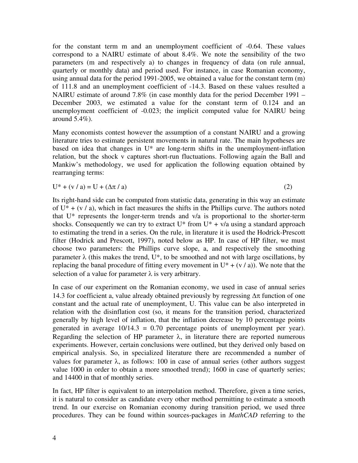for the constant term m and an unemployment coefficient of -0.64. These values correspond to a NAIRU estimate of about 8.4%. We note the sensibility of the two parameters (m and respectively a) to changes in frequency of data (on rule annual, quarterly or monthly data) and period used. For instance, in case Romanian economy, using annual data for the period 1991-2005, we obtained a value for the constant term (m) of 111.8 and an unemployment coefficient of -14.3. Based on these values resulted a NAIRU estimate of around 7.8% (in case monthly data for the period December 1991 – December 2003, we estimated a value for the constant term of 0.124 and an unemployment coefficient of -0.023; the implicit computed value for NAIRU being around 5.4%).

Many economists contest however the assumption of a constant NAIRU and a growing literature tries to estimate persistent movements in natural rate. The main hypotheses are based on idea that changes in U\* are long-term shifts in the unemployment-inflation relation, but the shock v captures short-run fluctuations. Following again the Ball and Mankiw's methodology, we used for application the following equation obtained by rearranging terms:

$$
U^* + (v/a) = U + (\Delta \pi / a)
$$
 (2)

Its right-hand side can be computed from statistic data, generating in this way an estimate of  $U^* + (v/a)$ , which in fact measures the shifts in the Phillips curve. The authors noted that U\* represents the longer-term trends and v/a is proportional to the shorter-term shocks. Consequently we can try to extract  $U^*$  from  $U^* + v/a$  using a standard approach to estimating the trend in a series. On the rule, in literature it is used the Hodrick-Prescott filter (Hodrick and Prescott, 1997), noted below as HP. In case of HP filter, we must choose two parameters: the Phillips curve slope, a, and respectively the smoothing parameter  $\lambda$  (this makes the trend, U<sup>\*</sup>, to be smoothed and not with large oscillations, by replacing the banal procedure of fitting every movement in  $U^* + (v/a)$ ). We note that the selection of a value for parameter  $\lambda$  is very arbitrary.

In case of our experiment on the Romanian economy, we used in case of annual series 14.3 for coefficient a, value already obtained previously by regressing  $\Delta \pi$  function of one constant and the actual rate of unemployment, U. This value can be also interpreted in relation with the disinflation cost (so, it means for the transition period, characterized generally by high level of inflation, that the inflation decrease by 10 percentage points generated in average  $10/14.3 = 0.70$  percentage points of unemployment per year). Regarding the selection of HP parameter  $\lambda$ , in literature there are reported numerous experiments. However, certain conclusions were outlined, but they derived only based on empirical analysis. So, in specialized literature there are recommended a number of values for parameter  $\lambda$ , as follows: 100 in case of annual series (other authors suggest value 1000 in order to obtain a more smoothed trend); 1600 in case of quarterly series; and 14400 in that of monthly series.

In fact, HP filter is equivalent to an interpolation method. Therefore, given a time series, it is natural to consider as candidate every other method permitting to estimate a smooth trend. In our exercise on Romanian economy during transition period, we used three procedures. They can be found within sources-packages in *MathCAD* referring to the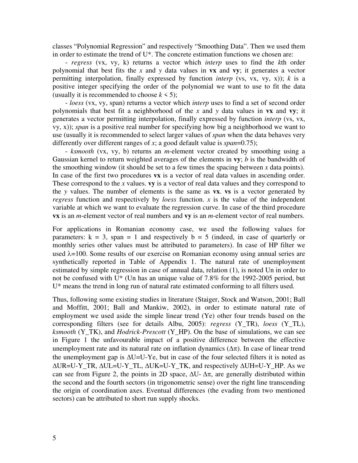classes "Polynomial Regression" and respectively "Smoothing Data". Then we used them in order to estimate the trend of U\*. The concrete estimation functions we chosen are:

- *regress* (vx, vy, k) returns a vector which *interp* uses to find the *k*th order polynomial that best fits the *x* and *y* data values in **vx** and **vy**; it generates a vector permitting interpolation, finally expressed by function *interp* (vs, vx, vy, x));  $k$  is a positive integer specifying the order of the polynomial we want to use to fit the data (usually it is recommended to choose  $k \le 5$ );

- *loess* (vx, vy, span) returns a vector which *interp* uses to find a set of second order polynomials that best fit a neighborhood of the *x* and *y* data values in **vx** and **vy**; it generates a vector permitting interpolation, finally expressed by function *interp* (vs, vx, vy, x)); *span* is a positive real number for specifying how big a neighborhood we want to use (usually it is recommended to select larger values of *span* when the data behaves very differently over different ranges of *x*; a good default value is *span*=0.75);

- *ksmooth* (vx, vy, b) returns an *m*-element vector created by smoothing using a Gaussian kernel to return weighted averages of the elements in **vy**; *b* is the bandwidth of the smoothing window (it should be set to a few times the spacing between  $x$  data points). In case of the first two procedures **vx** is a vector of real data values in ascending order. These correspond to the *x* values. **vy** is a vector of real data values and they correspond to the *y* values. The number of elements is the same as **vx**. **vs** is a vector generated by *regress* function and respectively by *loess* function. *x* is the value of the independent variable at which we want to evaluate the regression curve. In case of the third procedure **vx** is an *m*-element vector of real numbers and **vy** is an *m*-element vector of real numbers.

For applications in Romanian economy case, we used the following values for parameters:  $k = 3$ , span = 1 and respectively  $b = 5$  (indeed, in case of quarterly or monthly series other values must be attributed to parameters). In case of HP filter we used  $\lambda$ =100. Some results of our exercise on Romanian economy using annual series are synthetically reported in Table of Appendix 1. The natural rate of unemployment estimated by simple regression in case of annual data, relation (1), is noted Un in order to not be confused with U\* (Un has an unique value of 7.8% for the 1992-2005 period, but U\* means the trend in long run of natural rate estimated conforming to all filters used.

Thus, following some existing studies in literature (Staiger, Stock and Watson, 2001; Ball and Moffitt, 2001; Ball and Mankiw, 2002), in order to estimate natural rate of employment we used aside the simple linear trend (Ye) other four trends based on the corresponding filters (see for details Albu, 2005): *regress* (Y\_TR), *loess* (Y\_TL), *ksmooth* (Y\_TK), and *Hodrick-Prescott* (Y\_HP). On the base of simulations, we can see in Figure 1 the unfavourable impact of a positive difference between the effective unemployment rate and its natural rate on inflation dynamics  $(\Delta \pi)$ . In case of linear trend the unemployment gap is ∆U=U-Ye, but in case of the four selected filters it is noted as ∆UR=U-Y\_TR, ∆UL=U-Y\_TL, ∆UK=U-Y\_TK, and respectively ∆UH=U-Y\_HP. As we can see from Figure 2, the points in 2D space,  $\Delta U$ -  $\Delta \pi$ , are generally distributed within the second and the fourth sectors (in trigonometric sense) over the right line transcending the origin of coordination axes. Eventual differences (the evading from two mentioned sectors) can be attributed to short run supply shocks.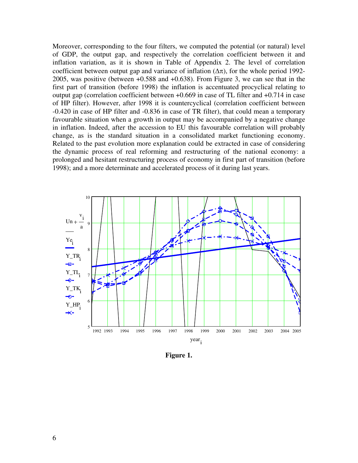Moreover, corresponding to the four filters, we computed the potential (or natural) level of GDP, the output gap, and respectively the correlation coefficient between it and inflation variation, as it is shown in Table of Appendix 2. The level of correlation coefficient between output gap and variance of inflation  $(\Delta \pi)$ , for the whole period 1992-2005, was positive (between +0.588 and +0.638). From Figure 3, we can see that in the first part of transition (before 1998) the inflation is accentuated procyclical relating to output gap (correlation coefficient between +0.669 in case of TL filter and +0.714 in case of HP filter). However, after 1998 it is countercyclical (correlation coefficient between -0.420 in case of HP filter and -0.836 in case of TR filter), that could mean a temporary favourable situation when a growth in output may be accompanied by a negative change in inflation. Indeed, after the accession to EU this favourable correlation will probably change, as is the standard situation in a consolidated market functioning economy. Related to the past evolution more explanation could be extracted in case of considering the dynamic process of real reforming and restructuring of the national economy: a prolonged and hesitant restructuring process of economy in first part of transition (before 1998); and a more determinate and accelerated process of it during last years.



**Figure 1.**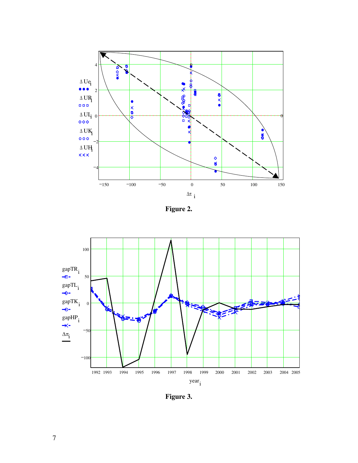

**Figure 2.** 



**Figure 3.**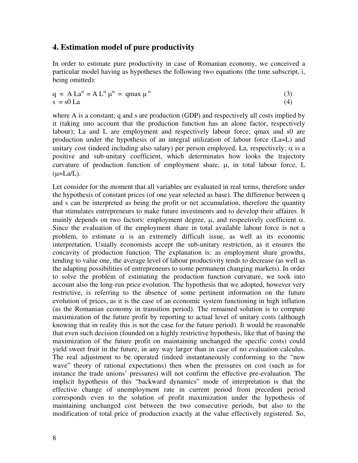#### **4. Estimation model of pure productivity**

In order to estimate pure productivity in case of Romanian economy, we conceived a particular model having as hypotheses the following two equations (the time subscript, i, being omitted):

$$
q = A La\alpha = A L\alpha \mu\alpha = qmax \mu\alpha
$$
 (3)  
s = s0 La (4)

where A is a constant; q and s are production (GDP) and respectively all costs implied by it (taking into account that the production function has an alone factor, respectively labour); La and L are employment and respectively labour force; qmax and s0 are production under the hypothesis of an integral utilization of labour force (La=L) and unitary cost (indeed including also salary) per person employed, La, respectively;  $\alpha$  is a positive and sub-unitary coefficient, which determinates how looks the trajectory curvature of production function of employment share, µ, in total labour force, L  $(\mu = La/L)$ .

Let consider for the moment that all variables are evaluated in real terms, therefore under the hypothesis of constant prices (of one year selected as base). The difference between q and s can be interpreted as being the profit or net accumulation, therefore the quantity that stimulates entrepreneurs to make future investments and to develop their affaires. It mainly depends on two factors: employment degree,  $\mu$ , and respectively coefficient  $\alpha$ . Since the evaluation of the employment share in total available labour force is not a problem, to estimate  $\alpha$  is an extremely difficult issue, as well as its economic interpretation. Usually economists accept the sub-unitary restriction, as it ensures the concavity of production function. The explanation is: as employment share growths, tending to value one, the average level of labour productivity tends to decrease (as well as the adapting possibilities of entrepreneurs to some permanent changing markets). In order to solve the problem of estimating the production function curvature, we took into account also the long-run price evolution. The hypothesis that we adopted, however very restrictive, is referring to the absence of some pertinent information on the future evolution of prices, as it is the case of an economic system functioning in high inflation (as the Romanian economy in transition period). The remained solution is to compute maximization of the future profit by reporting to actual level of unitary costs (although knowing that in reality this is not the case for the future period). It would be reasonable that even such decision (founded on a highly restrictive hypothesis, like that of basing the maximization of the future profit on maintaining unchanged the specific costs) could yield sweet fruit in the future, in any way larger than in case of no evaluation calculus. The real adjustment to be operated (indeed instantaneously conforming to the "new wave" theory of rational expectations) then when the pressures on cost (such as for instance the trade unions' pressures) will not confirm the effective pre-evaluation. The implicit hypothesis of this "backward dynamics" mode of interpretation is that the effective change of unemployment rate in current period from precedent period corresponds even to the solution of profit maximization under the hypothesis of maintaining unchanged cost between the two consecutive periods, but also to the modification of total price of production exactly at the value effectively registered. So,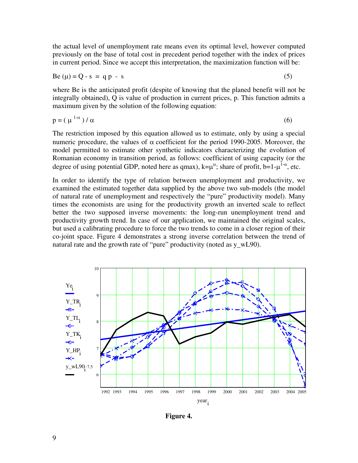the actual level of unemployment rate means even its optimal level, however computed previously on the base of total cost in precedent period together with the index of prices in current period. Since we accept this interpretation, the maximization function will be:

$$
Be(\mu) = Q - s = qp - s \tag{5}
$$

where Be is the anticipated profit (despite of knowing that the planed benefit will not be integrally obtained), Q is value of production in current prices, p. This function admits a maximum given by the solution of the following equation:

$$
p = (\mu^{1-\alpha})/\alpha \tag{6}
$$

The restriction imposed by this equation allowed us to estimate, only by using a special numeric procedure, the values of  $\alpha$  coefficient for the period 1990-2005. Moreover, the model permitted to estimate other synthetic indicators characterizing the evolution of Romanian economy in transition period, as follows: coefficient of using capacity (or the degree of using potential GDP, noted here as qmax),  $k=\mu^{\alpha}$ ; share of profit, b=1- $\mu^{1-\alpha}$ , etc.

In order to identify the type of relation between unemployment and productivity, we examined the estimated together data supplied by the above two sub-models (the model of natural rate of unemployment and respectively the "pure" productivity model). Many times the economists are using for the productivity growth an inverted scale to reflect better the two supposed inverse movements: the long-run unemployment trend and productivity growth trend. In case of our application, we maintained the original scales, but used a calibrating procedure to force the two trends to come in a closer region of their co-joint space. Figure 4 demonstrates a strong inverse correlation between the trend of natural rate and the growth rate of "pure" productivity (noted as y wL90).



**Figure 4.**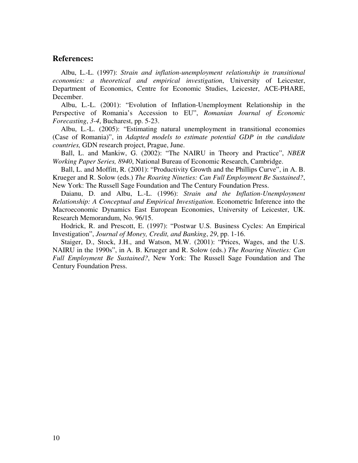#### **References:**

Albu, L.-L. (1997): *Strain and inflation-unemployment relationship in transitional economies: a theoretical and empirical investigation*, University of Leicester, Department of Economics, Centre for Economic Studies, Leicester, ACE-PHARE, December.

Albu, L.-L. (2001): "Evolution of Inflation-Unemployment Relationship in the Perspective of Romania's Accession to EU", *Romanian Journal of Economic Forecasting*, *3-4*, Bucharest, pp. 5-23.

Albu, L.-L. (2005): "Estimating natural unemployment in transitional economies (Case of Romania)", in *Adapted models to estimate potential GDP in the candidate countries,* GDN research project, Prague, June.

Ball, L. and Mankiw, G. (2002): "The NAIRU in Theory and Practice", *NBER Working Paper Series, 8940*, National Bureau of Economic Research, Cambridge.

Ball, L. and Moffitt, R. (2001): "Productivity Growth and the Phillips Curve", in A. B. Krueger and R. Solow (eds.) *The Roaring Nineties: Can Full Employment Be Sustained?*, New York: The Russell Sage Foundation and The Century Foundation Press.

Daianu, D. and Albu, L.-L. (1996): *Strain and the Inflation-Unemployment Relationship: A Conceptual and Empirical Investigation*. Econometric Inference into the Macroeconomic Dynamics East European Economies, University of Leicester, UK. Research Memorandum, No. 96/15.

Hodrick, R. and Prescott, E. (1997): "Postwar U.S. Business Cycles: An Empirical Investigation", *Journal of Money, Credit, and Banking*, *29*, pp. 1-16.

Staiger, D., Stock, J.H., and Watson, M.W. (2001): "Prices, Wages, and the U.S. NAIRU in the 1990s", in A. B. Krueger and R. Solow (eds.) *The Roaring Nineties: Can Full Employment Be Sustained?*, New York: The Russell Sage Foundation and The Century Foundation Press.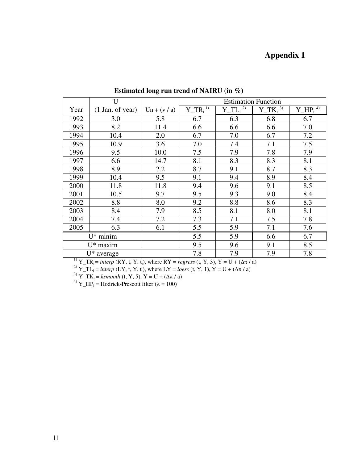## **Appendix 1**

|               | U                  |              | <b>Estimation Function</b> |                              |               |              |  |
|---------------|--------------------|--------------|----------------------------|------------------------------|---------------|--------------|--|
| Year          | $(1$ Jan. of year) | $Un + (v/a)$ | $Y_T R_i^{1)}$             | $Y_{I}$ $TL_i$ <sup>2)</sup> | $Y_TK_i^{3)}$ | $Y_HP_i^{4}$ |  |
| 1992          | 3.0                | 5.8          | 6.7                        | 6.3                          | 6.8           | 6.7          |  |
| 1993          | 8.2                | 11.4         | 6.6                        | 6.6                          | 6.6           | 7.0          |  |
| 1994          | 10.4               | 2.0          | 6.7                        | 7.0                          | 6.7           | 7.2          |  |
| 1995          | 10.9               | 3.6          | 7.0                        | 7.4                          | 7.1           | 7.5          |  |
| 1996          | 9.5                | 10.0         | 7.5                        | 7.9                          | 7.8           | 7.9          |  |
| 1997          | 6.6                | 14.7         | 8.1                        | 8.3                          | 8.3           | 8.1          |  |
| 1998          | 8.9                | 2.2          | 8.7                        | 9.1                          | 8.7           | 8.3          |  |
| 1999          | 10.4               | 9.5          | 9.1                        | 9.4                          | 8.9           | 8.4          |  |
| 2000          | 11.8               | 11.8         | 9.4                        | 9.6                          | 9.1           | 8.5          |  |
| 2001          | 10.5               | 9.7          | 9.5                        | 9.3                          | 9.0           | 8.4          |  |
| 2002          | 8.8                | 8.0          | 9.2                        | 8.8                          | 8.6           | 8.3          |  |
| 2003          | 8.4                | 7.9          | 8.5                        | 8.1                          | 8.0           | 8.1          |  |
| 2004          | 7.4                | 7.2          | 7.3                        | 7.1                          | 7.5           | 7.8          |  |
| 2005          | 6.3                | 6.1          | 5.5                        | 5.9                          | 7.1           | 7.6          |  |
| $U^*$ minim   |                    |              | 5.5                        | 5.9                          | 6.6           | 6.7          |  |
| $U^*$ maxim   |                    |              | 9.5                        | 9.6                          | 9.1           | 8.5          |  |
| $U^*$ average |                    |              | 7.8                        | 7.9                          | 7.9           | 7.8          |  |

**Estimated long run trend of NAIRU (in %)** 

<sup>1)</sup> Y\_TR<sub>i</sub> = *interp* (RY, t, Y, t<sub>i</sub>), where RY = *regress* (t, Y, 3), Y = U + ( $\Delta \pi$  / a)

<sup>2)</sup>  $Y_T L_i =$  *interp* (LY, t, Y, t<sub>i</sub>), where LY = *loess* (t, Y, 1), Y = U + ( $\Delta \pi / a$ )

<sup>3)</sup> Y\_TK<sub>i</sub> = *ksmooth* (t, Y, 5), Y = U + ( $\Delta \pi$  / a)

<sup>4)</sup> Y\_HP<sub>i</sub> = Hodrick-Prescott filter ( $\lambda$  = 100)